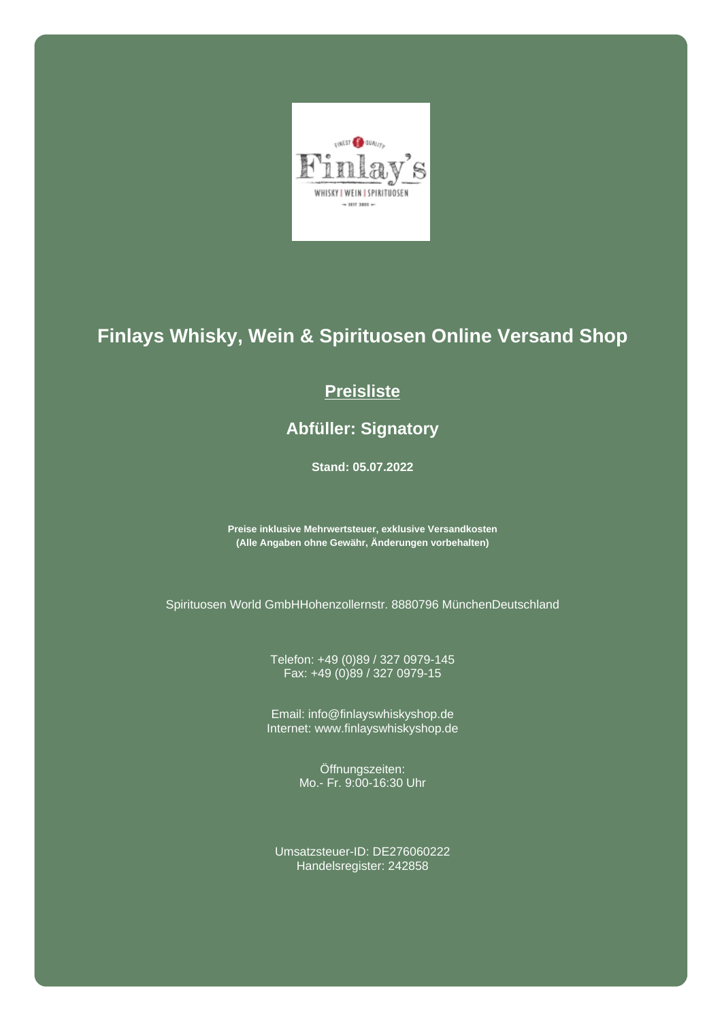

## **Finlays Whisky, Wein & Spirituosen Online Versand Shop**

## **Preisliste**

## **Abfüller: Signatory**

**Stand: 05.07.2022**

**Preise inklusive Mehrwertsteuer, exklusive Versandkosten (Alle Angaben ohne Gewähr, Änderungen vorbehalten)**

Spirituosen World GmbHHohenzollernstr. 8880796 MünchenDeutschland

Telefon: +49 (0)89 / 327 0979-145 Fax: +49 (0)89 / 327 0979-15

Email: info@finlayswhiskyshop.de Internet: www.finlayswhiskyshop.de

> Öffnungszeiten: Mo.- Fr. 9:00-16:30 Uhr

Umsatzsteuer-ID: DE276060222 Handelsregister: 242858